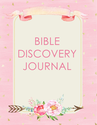# BIBLE DISCOVERY JOURNAL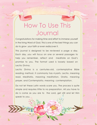# How To Use This Journal

Congratulations for making time and effort to immerse yourself in the living Word of God. This is one of the best things you can do to grow your faith or even rediscover it.

This journal is designed to be reviewed a page a day. Each day, you will focus on one or several passages to help you remember, reflect and meditate on God's promise to you. The format used is loosely based on Lectio Divina.

Lectio Divina is a centuries-old, contemplative Bible reading method. It commonly has 4 parts. Lectio, meaning read. Meditatio, meaning meditation. Oratio, meaning prayer, and Contemplatio, meaning contemplation.

Do not let these Latin words scare you. The process is quite simple and requires little to no preparation. All you have to do is come as you are to the Lord, get still and let Him speak to you.

游行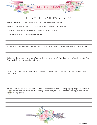

# TODAY'S READING IS MATTHEW 6: 31-33

Before you begin, take a moment to prepare your heart and mind.

Get in a quiet space. Clear your mind. Pray and Invite God to this time.

Slowly read today's passage several times. Take your time with it.

Either read quietly, out loud or write it down.

Note the word or phrases that speak to you or you are drawn to. Don't analyze. Just notice them.

Reflect on the words or phrases. What do they bring to mind? Avoid going into "study" mode. Ask God to clarify and speak clearly to you.

Respond with a written prayer. Take a moment to thank and praise The Lord before launching into your prayer.

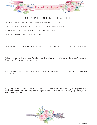

# TODAY'S READING IS EXODUS 4: 11-12

Before you begin, take a moment to prepare your heart and mind.

Get in a quiet space. Clear your mind. Pray and Invite God to this time.

Slowly read today's passage several times. Take your time with it.

Either read quietly, out loud or write it down.

Note the word or phrases that speak to you or you are drawn to. Don't analyze. Just notice them.

Reflect on the words or phrases. What do they bring to mind? Avoid going into "study" mode. Ask God to clarify and speak clearly to you.

Respond with a written prayer. Take a moment to thank and praise The Lord before launching into your prayer.

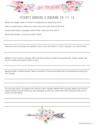

# TODAY'S READING IS JEREMIAH 39: 11-13

Before you begin, take a moment to prepare your heart and mind.

Get in a quiet space. Clear your mind. Pray and Invite God to this time.

Slowly read today's passage several times. Take your time with it.

Either read quietly, out loud or write it down.

Note the word or phrases that speak to you or you are drawn to. Don't analyze. Just notice them.

Reflect on the words or phrases. What do they bring to mind? Avoid going into "study" mode. Ask God to clarify and speak clearly to you.

Respond with a written prayer. Take a moment to thank and praise The Lord before launching into your prayer.

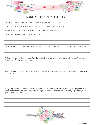

#### TODAY'S READING IS JOHN 14:1

Before you begin, take a moment to prepare your heart and mind.

Get in a quiet space. Clear your mind. Pray and Invite God to this time.

Slowly read today's passage several times. Take your time with it.

Either read quietly, out loud or write it down.

Note the word or phrases that speak to you or you are drawn to. Don't analyze. Just notice them.

Reflect on the words or phrases. What do they bring to mind? Avoid going into "study" mode. Ask God to clarify and speak clearly to you.

Respond with a written prayer. Take a moment to thank and praise The Lord before launching into your prayer.

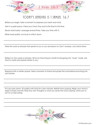

# TODAY'S READING IS 1 SAMUEL 16:7

Before you begin, take a moment to prepare your heart and mind.

Get in a quiet space. Clear your mind. Pray and Invite God to this time.

Slowly read today's passage several times. Take your time with it.

Either read quietly, out loud or write it down.

Note the word or phrases that speak to you or you are drawn to. Don't analyze. Just notice them.

Reflect on the words or phrases. What do they bring to mind? Avoid going into "study" mode. Ask God to clarify and speak clearly to you.

Respond with a written prayer. Take a moment to thank and praise The Lord before launching into your prayer.

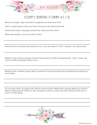

# TODAY'S READING IS ISAIAH  $43:1-2$

Before you begin, take a moment to prepare your heart and mind.

Get in a quiet space. Clear your mind. Pray and Invite God to this time.

Slowly read today's passage several times. Take your time with it.

Either read quietly, out loud or write it down.

Note the word or phrases that speak to you or you are drawn to. Don't analyze. Just notice them.

Reflect on the words or phrases. What do they bring to mind? Avoid going into "study" mode. Ask God to clarify and speak clearly to you.

Respond with a written prayer. Take a moment to thank and praise The Lord before launching into your prayer.

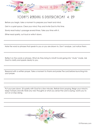

# TODAY'S READING IS DEUTERONOMY 4: 29

Before you begin, take a moment to prepare your heart and mind.

Get in a quiet space. Clear your mind. Pray and Invite God to this time.

Slowly read today's passage several times. Take your time with it.

Either read quietly, out loud or write it down.

Note the word or phrases that speak to you or you are drawn to. Don't analyze. Just notice them.

Reflect on the words or phrases. What do they bring to mind? Avoid going into "study" mode. Ask God to clarify and speak clearly to you.

Respond with a written prayer. Take a moment to thank and praise The Lord before launching into your prayer.

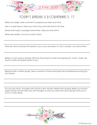

# TODAY'S READING IS 2 CORINTHIANS 5: 17

Before you begin, take a moment to prepare your heart and mind.

Get in a quiet space. Clear your mind. Pray and Invite God to this time.

Slowly read today's passage several times. Take your time with it.

Either read quietly, out loud or write it down.

Note the word or phrases that speak to you or you are drawn to. Don't analyze. Just notice them.

Reflect on the words or phrases. What do they bring to mind? Avoid going into "study" mode. Ask God to clarify and speak clearly to you.

Respond with a written prayer. Take a moment to thank and praise The Lord before launching into your prayer.

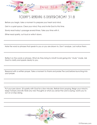

# TODAY'S READING IS DEUTERONOMY 31:8

Before you begin, take a moment to prepare your heart and mind.

Get in a quiet space. Clear your mind. Pray and Invite God to this time.

Slowly read today's passage several times. Take your time with it.

Either read quietly, out loud or write it down.

Note the word or phrases that speak to you or you are drawn to. Don't analyze. Just notice them.

Reflect on the words or phrases. What do they bring to mind? Avoid going into "study" mode. Ask God to clarify and speak clearly to you.

Respond with a written prayer. Take a moment to thank and praise The Lord before launching into your prayer.

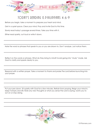

# TODAY'S READING IS PHILIPPIANS  $4:6-9$

Before you begin, take a moment to prepare your heart and mind.

Get in a quiet space. Clear your mind. Pray and Invite God to this time.

Slowly read today's passage several times. Take your time with it.

Either read quietly, out loud or write it down.

Note the word or phrases that speak to you or you are drawn to. Don't analyze. Just notice them.

Reflect on the words or phrases. What do they bring to mind? Avoid going into "study" mode. Ask God to clarify and speak clearly to you.

Respond with a written prayer. Take a moment to thank and praise The Lord before launching into your prayer.

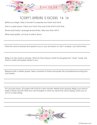

# TODAY'S READING IS EXODUS 14: 14

Before you begin, take a moment to prepare your heart and mind.

Get in a quiet space. Clear your mind. Pray and Invite God to this time.

Slowly read today's passage several times. Take your time with it.

Either read quietly, out loud or write it down.

Note the word or phrases that speak to you or you are drawn to. Don't analyze. Just notice them.

Reflect on the words or phrases. What do they bring to mind? Avoid going into "study" mode. Ask God to clarify and speak clearly to you.

Respond with a written prayer. Take a moment to thank and praise The Lord before launching into your prayer.

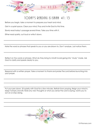

# TODAY'S READING IS ISAIAH 41: 13

Before you begin, take a moment to prepare your heart and mind.

Get in a quiet space. Clear your mind. Pray and Invite God to this time.

Slowly read today's passage several times. Take your time with it.

Either read quietly, out loud or write it down.

Note the word or phrases that speak to you or you are drawn to. Don't analyze. Just notice them.

Reflect on the words or phrases. What do they bring to mind? Avoid going into "study" mode. Ask God to clarify and speak clearly to you.

Respond with a written prayer. Take a moment to thank and praise The Lord before launching into your prayer.

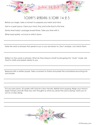

## TODAY'S READING IS JOHN  $14:2-3$

Before you begin, take a moment to prepare your heart and mind.

Get in a quiet space. Clear your mind. Pray and Invite God to this time.

Slowly read today's passage several times. Take your time with it.

Either read quietly, out loud or write it down.

Note the word or phrases that speak to you or you are drawn to. Don't analyze. Just notice them.

Reflect on the words or phrases. What do they bring to mind? Avoid going into "study" mode. Ask God to clarify and speak clearly to you.

Respond with a written prayer. Take a moment to thank and praise The Lord before launching into your prayer.

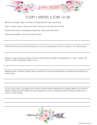

# TODAY'S READING IS JOHN 10: 28

Before you begin, take a moment to prepare your heart and mind.

Get in a quiet space. Clear your mind. Pray and Invite God to this time.

Slowly read today's passage several times. Take your time with it.

Either read quietly, out loud or write it down.

Note the word or phrases that speak to you or you are drawn to. Don't analyze. Just notice them.

Reflect on the words or phrases. What do they bring to mind? Avoid going into "study" mode. Ask God to clarify and speak clearly to you.

Respond with a written prayer. Take a moment to thank and praise The Lord before launching into your prayer.

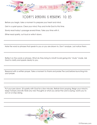

## TODAY'S READING IS HEBREWS 10: 23

Before you begin, take a moment to prepare your heart and mind.

Get in a quiet space. Clear your mind. Pray and Invite God to this time.

Slowly read today's passage several times. Take your time with it.

Either read quietly, out loud or write it down.

Note the word or phrases that speak to you or you are drawn to. Don't analyze. Just notice them.

Reflect on the words or phrases. What do they bring to mind? Avoid going into "study" mode. Ask God to clarify and speak clearly to you.

Respond with a written prayer. Take a moment to thank and praise The Lord before launching into your prayer.

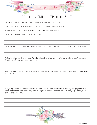

# TODAY'S READING IS ZEPHANIAH 3: 17

Before you begin, take a moment to prepare your heart and mind.

Get in a quiet space. Clear your mind. Pray and Invite God to this time.

Slowly read today's passage several times. Take your time with it.

Either read quietly, out loud or write it down.

Note the word or phrases that speak to you or you are drawn to. Don't analyze. Just notice them.

Reflect on the words or phrases. What do they bring to mind? Avoid going into "study" mode. Ask God to clarify and speak clearly to you.

Respond with a written prayer. Take a moment to thank and praise The Lord before launching into your prayer.

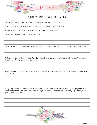

#### TODAY'S READING IS JAMES  $4:8$

Before you begin, take a moment to prepare your heart and mind.

Get in a quiet space. Clear your mind. Pray and Invite God to this time.

Slowly read today's passage several times. Take your time with it.

Either read quietly, out loud or write it down.

Note the word or phrases that speak to you or you are drawn to. Don't analyze. Just notice them.

Reflect on the words or phrases. What do they bring to mind? Avoid going into "study" mode. Ask God to clarify and speak clearly to you.

Respond with a written prayer. Take a moment to thank and praise The Lord before launching into your prayer.

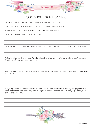

# TODAY'S READING IS ROMANS 8:1

Before you begin, take a moment to prepare your heart and mind.

Get in a quiet space. Clear your mind. Pray and Invite God to this time.

Slowly read today's passage several times. Take your time with it.

Either read quietly, out loud or write it down.

Note the word or phrases that speak to you or you are drawn to. Don't analyze. Just notice them.

Reflect on the words or phrases. What do they bring to mind? Avoid going into "study" mode. Ask God to clarify and speak clearly to you.

Respond with a written prayer. Take a moment to thank and praise The Lord before launching into your prayer.

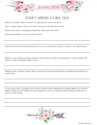

## TODAY'S READING IS P SALM 32:8

Before you begin, take a moment to prepare your heart and mind.

Get in a quiet space. Clear your mind. Pray and Invite God to this time.

Slowly read today's passage several times. Take your time with it.

Either read quietly, out loud or write it down.

Note the word or phrases that speak to you or you are drawn to. Don't analyze. Just notice them.

Reflect on the words or phrases. What do they bring to mind? Avoid going into "study" mode. Ask God to clarify and speak clearly to you.

Respond with a written prayer. Take a moment to thank and praise The Lord before launching into your prayer.

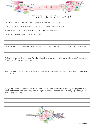

## TODAY'S READING IS ISAIAH 49: 15

Before you begin, take a moment to prepare your heart and mind.

Get in a quiet space. Clear your mind. Pray and Invite God to this time.

Slowly read today's passage several times. Take your time with it.

Either read quietly, out loud or write it down.

Note the word or phrases that speak to you or you are drawn to. Don't analyze. Just notice them.

Reflect on the words or phrases. What do they bring to mind? Avoid going into "study" mode. Ask God to clarify and speak clearly to you.

Respond with a written prayer. Take a moment to thank and praise The Lord before launching into your prayer.